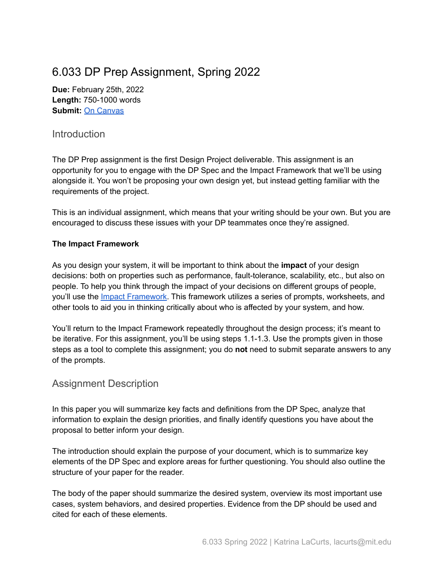## 6.033 DP Prep Assignment, Spring 2022

**Due:** February 25th, 2022 **Length:** 750-1000 words **Submit:** On [Canvas](https://canvas.mit.edu/courses/13713/assignments/171082)

## **Introduction**

The DP Prep assignment is the first Design Project deliverable. This assignment is an opportunity for you to engage with the DP Spec and the Impact Framework that we'll be using alongside it. You won't be proposing your own design yet, but instead getting familiar with the requirements of the project.

This is an individual assignment, which means that your writing should be your own. But you are encouraged to discuss these issues with your DP teammates once they're assigned.

## **The Impact Framework**

As you design your system, it will be important to think about the **impact** of your design decisions: both on properties such as performance, fault-tolerance, scalability, etc., but also on people. To help you think through the impact of your decisions on different groups of people, you'll use the Impact [Framework](http://web.mit.edu/6.033/2022/wwwdocs/assignments/if.pdf). This framework utilizes a series of prompts, worksheets, and other tools to aid you in thinking critically about who is affected by your system, and how.

You'll return to the Impact Framework repeatedly throughout the design process; it's meant to be iterative. For this assignment, you'll be using steps 1.1-1.3. Use the prompts given in those steps as a tool to complete this assignment; you do **not** need to submit separate answers to any of the prompts.

## Assignment Description

In this paper you will summarize key facts and definitions from the DP Spec, analyze that information to explain the design priorities, and finally identify questions you have about the proposal to better inform your design.

The introduction should explain the purpose of your document, which is to summarize key elements of the DP Spec and explore areas for further questioning. You should also outline the structure of your paper for the reader.

The body of the paper should summarize the desired system, overview its most important use cases, system behaviors, and desired properties. Evidence from the DP should be used and cited for each of these elements.